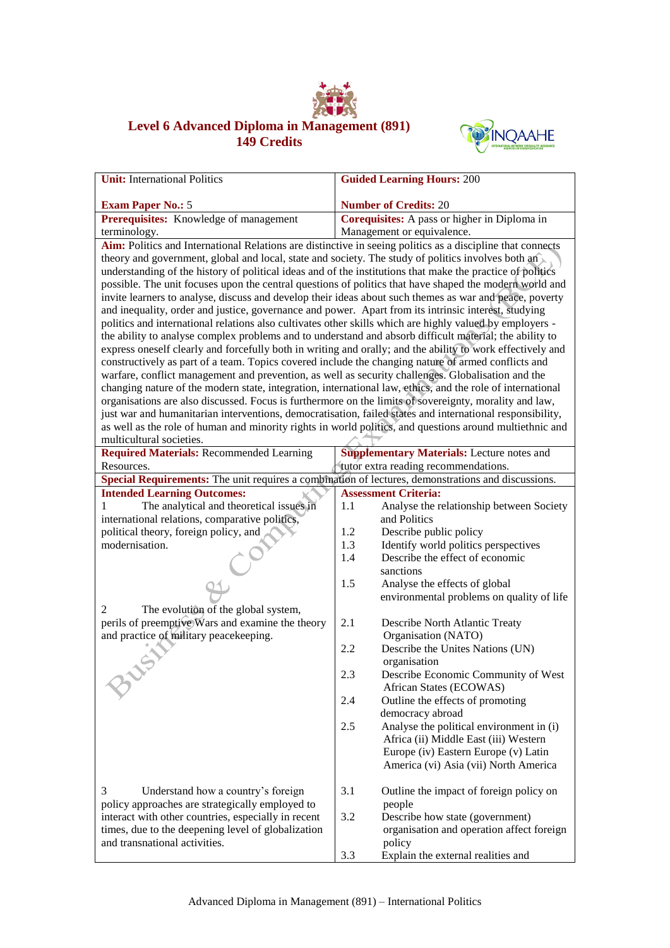

## **Level 6 Advanced Diploma in Management (891) 149 Credits**



| <b>Unit:</b> International Politics                                                                        | <b>Guided Learning Hours: 200</b>                                                                        |  |  |  |
|------------------------------------------------------------------------------------------------------------|----------------------------------------------------------------------------------------------------------|--|--|--|
| <b>Exam Paper No.: 5</b>                                                                                   |                                                                                                          |  |  |  |
| Prerequisites: Knowledge of management                                                                     | <b>Number of Credits: 20</b><br>Corequisites: A pass or higher in Diploma in                             |  |  |  |
| terminology.                                                                                               | Management or equivalence.                                                                               |  |  |  |
| Aim: Politics and International Relations are distinctive in seeing politics as a discipline that connects |                                                                                                          |  |  |  |
| theory and government, global and local, state and society. The study of politics involves both an         |                                                                                                          |  |  |  |
| understanding of the history of political ideas and of the institutions that make the practice of politics |                                                                                                          |  |  |  |
| possible. The unit focuses upon the central questions of politics that have shaped the modern world and    |                                                                                                          |  |  |  |
| invite learners to analyse, discuss and develop their ideas about such themes as war and peace, poverty    |                                                                                                          |  |  |  |
| and inequality, order and justice, governance and power. Apart from its intrinsic interest, studying       |                                                                                                          |  |  |  |
| politics and international relations also cultivates other skills which are highly valued by employers -   |                                                                                                          |  |  |  |
| the ability to analyse complex problems and to understand and absorb difficult material; the ability to    |                                                                                                          |  |  |  |
| express oneself clearly and forcefully both in writing and orally; and the ability to work effectively and |                                                                                                          |  |  |  |
| constructively as part of a team. Topics covered include the changing nature of armed conflicts and        |                                                                                                          |  |  |  |
| warfare, conflict management and prevention, as well as security challenges. Globalisation and the         |                                                                                                          |  |  |  |
| changing nature of the modern state, integration, international law, ethics, and the role of international |                                                                                                          |  |  |  |
| organisations are also discussed. Focus is furthermore on the limits of sovereignty, morality and law,     |                                                                                                          |  |  |  |
| just war and humanitarian interventions, democratisation, failed states and international responsibility,  |                                                                                                          |  |  |  |
|                                                                                                            | as well as the role of human and minority rights in world politics, and questions around multiethnic and |  |  |  |
| multicultural societies.                                                                                   |                                                                                                          |  |  |  |
| <b>Required Materials: Recommended Learning</b>                                                            | <b>Supplementary Materials:</b> Lecture notes and                                                        |  |  |  |
| Resources.                                                                                                 | tutor extra reading recommendations.                                                                     |  |  |  |
| Special Requirements: The unit requires a combination of lectures, demonstrations and discussions.         | <b>Assessment Criteria:</b>                                                                              |  |  |  |
| <b>Intended Learning Outcomes:</b><br>The analytical and theoretical issues in                             | 1.1<br>Analyse the relationship between Society                                                          |  |  |  |
| international relations, comparative politics,                                                             | and Politics                                                                                             |  |  |  |
| political theory, foreign policy, and                                                                      | Describe public policy<br>1.2                                                                            |  |  |  |
| modernisation.                                                                                             | 1.3<br>Identify world politics perspectives                                                              |  |  |  |
|                                                                                                            | Describe the effect of economic<br>1.4                                                                   |  |  |  |
|                                                                                                            | sanctions                                                                                                |  |  |  |
|                                                                                                            | 1.5<br>Analyse the effects of global                                                                     |  |  |  |
|                                                                                                            | environmental problems on quality of life                                                                |  |  |  |
| The evolution of the global system,<br>2                                                                   |                                                                                                          |  |  |  |
| perils of preemptive Wars and examine the theory                                                           | 2.1<br>Describe North Atlantic Treaty                                                                    |  |  |  |
| and practice of military peacekeeping.                                                                     | Organisation (NATO)                                                                                      |  |  |  |
|                                                                                                            | Describe the Unites Nations (UN)<br>2.2                                                                  |  |  |  |
|                                                                                                            | organisation                                                                                             |  |  |  |
|                                                                                                            | Describe Economic Community of West<br>2.3                                                               |  |  |  |
|                                                                                                            | African States (ECOWAS)                                                                                  |  |  |  |
|                                                                                                            | 2.4<br>Outline the effects of promoting                                                                  |  |  |  |
|                                                                                                            | democracy abroad                                                                                         |  |  |  |
|                                                                                                            | 2.5<br>Analyse the political environment in (i)                                                          |  |  |  |
|                                                                                                            | Africa (ii) Middle East (iii) Western                                                                    |  |  |  |
|                                                                                                            | Europe (iv) Eastern Europe (v) Latin                                                                     |  |  |  |
|                                                                                                            | America (vi) Asia (vii) North America                                                                    |  |  |  |
| 3<br>Understand how a country's foreign                                                                    | 3.1<br>Outline the impact of foreign policy on                                                           |  |  |  |
| policy approaches are strategically employed to                                                            | people                                                                                                   |  |  |  |
| interact with other countries, especially in recent                                                        | 3.2<br>Describe how state (government)                                                                   |  |  |  |
| times, due to the deepening level of globalization                                                         | organisation and operation affect foreign                                                                |  |  |  |
| and transnational activities.                                                                              | policy                                                                                                   |  |  |  |
|                                                                                                            | Explain the external realities and<br>3.3                                                                |  |  |  |
|                                                                                                            |                                                                                                          |  |  |  |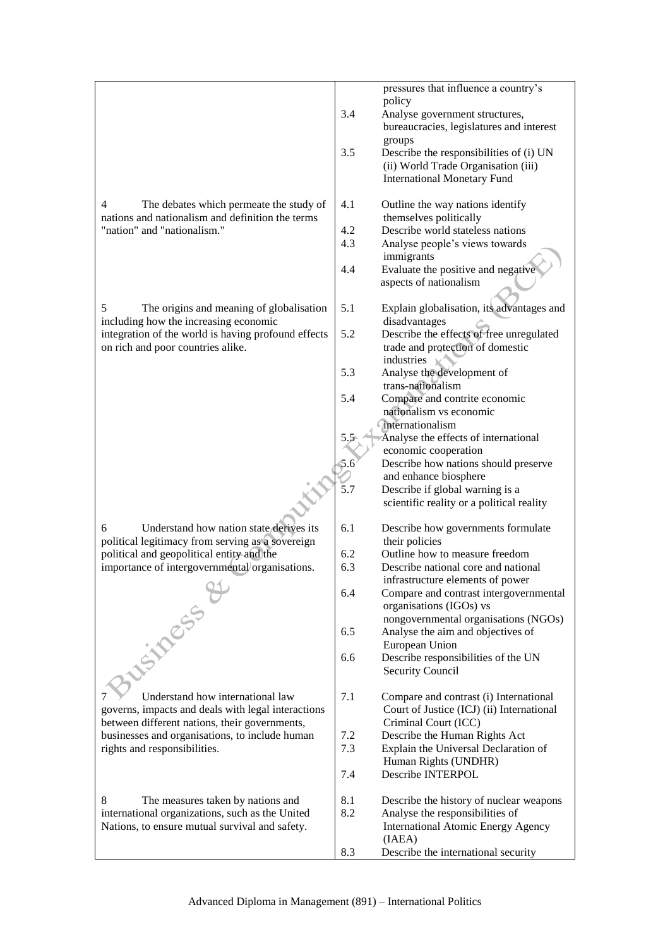|                                                                                                     |     | pressures that influence a country's                                                |
|-----------------------------------------------------------------------------------------------------|-----|-------------------------------------------------------------------------------------|
|                                                                                                     |     | policy                                                                              |
|                                                                                                     | 3.4 | Analyse government structures,                                                      |
|                                                                                                     |     | bureaucracies, legislatures and interest                                            |
|                                                                                                     |     | groups                                                                              |
|                                                                                                     | 3.5 | Describe the responsibilities of (i) UN                                             |
|                                                                                                     |     | (ii) World Trade Organisation (iii)                                                 |
|                                                                                                     |     | <b>International Monetary Fund</b>                                                  |
|                                                                                                     |     |                                                                                     |
| 4<br>The debates which permeate the study of                                                        | 4.1 | Outline the way nations identify                                                    |
| nations and nationalism and definition the terms                                                    |     | themselves politically                                                              |
| "nation" and "nationalism."                                                                         | 4.2 | Describe world stateless nations                                                    |
|                                                                                                     | 4.3 | Analyse people's views towards                                                      |
|                                                                                                     |     | immigrants                                                                          |
|                                                                                                     | 4.4 | Evaluate the positive and negative                                                  |
|                                                                                                     |     | aspects of nationalism                                                              |
|                                                                                                     |     |                                                                                     |
| 5<br>The origins and meaning of globalisation                                                       | 5.1 | Explain globalisation, its advantages and                                           |
| including how the increasing economic                                                               | 5.2 | disadvantages                                                                       |
| integration of the world is having profound effects                                                 |     | Describe the effects of free unregulated                                            |
| on rich and poor countries alike.                                                                   |     | trade and protection of domestic<br>industries                                      |
|                                                                                                     | 5.3 | Analyse the development of                                                          |
|                                                                                                     |     | trans-nationalism                                                                   |
|                                                                                                     | 5.4 | Compare and contrite economic                                                       |
|                                                                                                     |     | nationalism vs economic                                                             |
|                                                                                                     |     | internationalism                                                                    |
|                                                                                                     | 5.5 | Analyse the effects of international                                                |
|                                                                                                     |     | economic cooperation                                                                |
|                                                                                                     | 5.6 | Describe how nations should preserve                                                |
|                                                                                                     |     | and enhance biosphere                                                               |
|                                                                                                     | 5.7 | Describe if global warning is a                                                     |
|                                                                                                     |     | scientific reality or a political reality                                           |
|                                                                                                     |     |                                                                                     |
| 6<br>Understand how nation state derives its                                                        | 6.1 | Describe how governments formulate                                                  |
| political legitimacy from serving as a sovereign                                                    |     | their policies                                                                      |
| political and geopolitical entity and the                                                           | 6.2 | Outline how to measure freedom                                                      |
| importance of intergovernmental organisations.                                                      | 6.3 | Describe national core and national                                                 |
| and the state of the                                                                                |     | infrastructure elements of power                                                    |
|                                                                                                     | 6.4 | Compare and contrast intergovernmental                                              |
|                                                                                                     |     | organisations (IGOs) vs                                                             |
|                                                                                                     |     | nongovernmental organisations (NGOs)                                                |
|                                                                                                     | 6.5 | Analyse the aim and objectives of                                                   |
|                                                                                                     |     | European Union                                                                      |
| <b>WSITRESS &amp;</b>                                                                               | 6.6 | Describe responsibilities of the UN                                                 |
|                                                                                                     |     | <b>Security Council</b>                                                             |
| Understand how international law                                                                    | 7.1 |                                                                                     |
|                                                                                                     |     | Compare and contrast (i) International<br>Court of Justice (ICJ) (ii) International |
| governs, impacts and deals with legal interactions<br>between different nations, their governments, |     | Criminal Court (ICC)                                                                |
| businesses and organisations, to include human                                                      | 7.2 | Describe the Human Rights Act                                                       |
| rights and responsibilities.                                                                        | 7.3 | Explain the Universal Declaration of                                                |
|                                                                                                     |     | Human Rights (UNDHR)                                                                |
|                                                                                                     | 7.4 | Describe INTERPOL                                                                   |
|                                                                                                     |     |                                                                                     |
| 8<br>The measures taken by nations and                                                              | 8.1 | Describe the history of nuclear weapons                                             |
| international organizations, such as the United                                                     | 8.2 | Analyse the responsibilities of                                                     |
| Nations, to ensure mutual survival and safety.                                                      |     | <b>International Atomic Energy Agency</b>                                           |
|                                                                                                     |     | (IAEA)                                                                              |
|                                                                                                     | 8.3 | Describe the international security                                                 |
|                                                                                                     |     |                                                                                     |